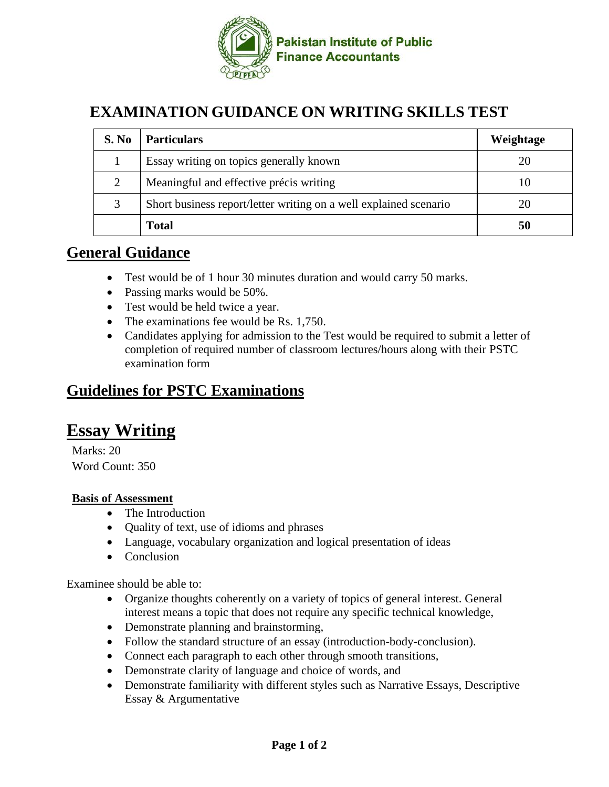

## **EXAMINATION GUIDANCE ON WRITING SKILLS TEST**

| S. No | <b>Particulars</b>                                                | Weightage |
|-------|-------------------------------------------------------------------|-----------|
|       | Essay writing on topics generally known                           | 20        |
|       | Meaningful and effective précis writing                           |           |
|       | Short business report/letter writing on a well explained scenario | 20        |
|       | <b>Total</b>                                                      |           |

### **General Guidance**

- Test would be of 1 hour 30 minutes duration and would carry 50 marks.
- Passing marks would be 50%.
- Test would be held twice a year.
- The examinations fee would be Rs. 1,750.
- Candidates applying for admission to the Test would be required to submit a letter of completion of required number of classroom lectures/hours along with their PSTC examination form

### **Guidelines for PSTC Examinations**

# **Essay Writing**

Marks: 20 Word Count: 350

#### **Basis of Assessment**

- The Introduction
- Quality of text, use of idioms and phrases
- Language, vocabulary organization and logical presentation of ideas
- Conclusion

Examinee should be able to:

- Organize thoughts coherently on a variety of topics of general interest. General interest means a topic that does not require any specific technical knowledge,
- Demonstrate planning and brainstorming,
- Follow the standard structure of an essay (introduction-body-conclusion).
- Connect each paragraph to each other through smooth transitions,
- Demonstrate clarity of language and choice of words, and
- Demonstrate familiarity with different styles such as Narrative Essays, Descriptive Essay & Argumentative